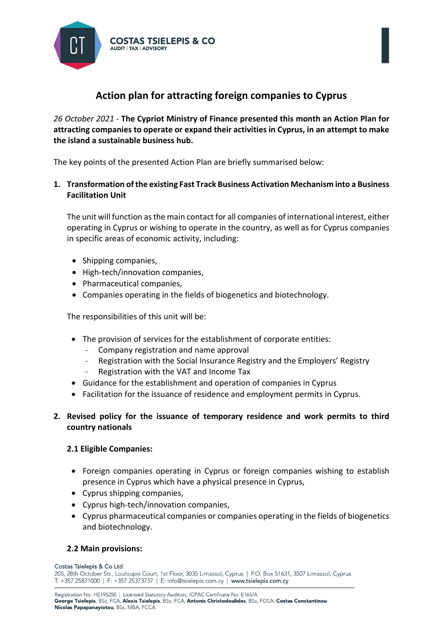

# **Action plan for attracting foreign companies to Cyprus**

*26 October 2021* - **The Cypriot Ministry of Finance presented this month an Action Plan for attracting companies to operate or expand their activities in Cyprus, in an attempt to make the island a sustainable business hub.**

The key points of the presented Action Plan are briefly summarised below:

**1. Transformation of the existing Fast Track Business Activation Mechanism into a Business Facilitation Unit** 

The unit will function as the main contact for all companies of international interest, either operating in Cyprus or wishing to operate in the country, as well as for Cyprus companies in specific areas of economic activity, including:

- Shipping companies,
- High-tech/innovation companies,
- Pharmaceutical companies,
- Companies operating in the fields of biogenetics and biotechnology.

The responsibilities of this unit will be:

- The provision of services for the establishment of corporate entities:
	- Company registration and name approval
	- Registration with the Social Insurance Registry and the Employers' Registry
	- Registration with the VAT and Income Tax
- Guidance for the establishment and operation of companies in Cyprus
- Facilitation for the issuance of residence and employment permits in Cyprus.

# **2. Revised policy for the issuance of temporary residence and work permits to third country nationals**

#### **2.1 Eligible Companies:**

- Foreign companies operating in Cyprus or foreign companies wishing to establish presence in Cyprus which have a physical presence in Cyprus,
- Cyprus shipping companies,
- Cyprus high-tech/innovation companies,
- Cyprus pharmaceutical companies or companies operating in the fields of biogenetics and biotechnology.

#### **2.2 Main provisions:**

Costas Tsielepis & Co Ltd 205, 28th October Str., Louloupis Court, 1st Floor, 3035 Limassol, Cyprus | P.O. Box 51631, 3507 Limassol, Cyprus T: +357 25871000 | F: +357 25373737 | E: info@tsielepis.com.cy | www.tsielepis.com.cy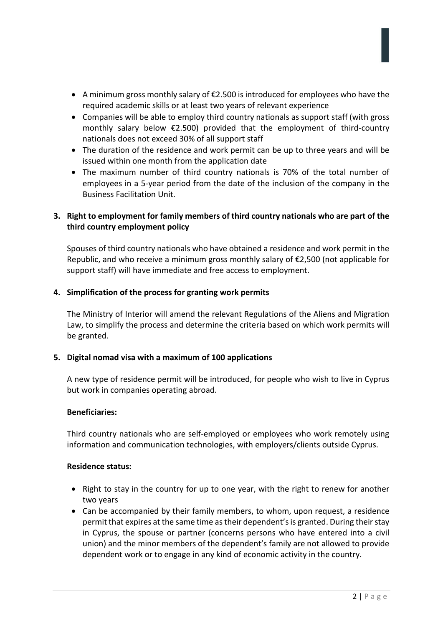- A minimum gross monthly salary of €2.500 is introduced for employees who have the required academic skills or at least two years of relevant experience
- Companies will be able to employ third country nationals as support staff (with gross monthly salary below €2.500) provided that the employment of third-country nationals does not exceed 30% of all support staff
- The duration of the residence and work permit can be up to three years and will be issued within one month from the application date
- The maximum number of third country nationals is 70% of the total number of employees in a 5-year period from the date of the inclusion of the company in the Business Facilitation Unit.

# **3. Right to employment for family members of third country nationals who are part of the third country employment policy**

Spouses of third country nationals who have obtained a residence and work permit in the Republic, and who receive a minimum gross monthly salary of  $\epsilon$ 2,500 (not applicable for support staff) will have immediate and free access to employment.

### **4. Simplification of the process for granting work permits**

The Ministry of Interior will amend the relevant Regulations of the Aliens and Migration Law, to simplify the process and determine the criteria based on which work permits will be granted.

# **5. Digital nomad visa with a maximum of 100 applications**

A new type of residence permit will be introduced, for people who wish to live in Cyprus but work in companies operating abroad.

#### **Beneficiaries:**

Third country nationals who are self-employed or employees who work remotely using information and communication technologies, with employers/clients outside Cyprus.

#### **Residence status:**

- Right to stay in the country for up to one year, with the right to renew for another two years
- Can be accompanied by their family members, to whom, upon request, a residence permit that expires at the same time as their dependent's is granted. During their stay in Cyprus, the spouse or partner (concerns persons who have entered into a civil union) and the minor members of the dependent's family are not allowed to provide dependent work or to engage in any kind of economic activity in the country.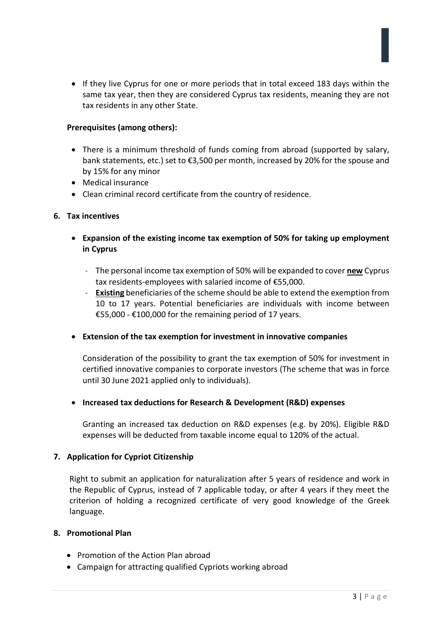• If they live Cyprus for one or more periods that in total exceed 183 days within the same tax year, then they are considered Cyprus tax residents, meaning they are not tax residents in any other State.

#### **Prerequisites (among others):**

- There is a minimum threshold of funds coming from abroad (supported by salary, bank statements, etc.) set to €3,500 per month, increased by 20% for the spouse and by 15% for any minor
- Medical insurance
- Clean criminal record certificate from the country of residence.

#### **6. Tax incentives**

- **Expansion of the existing income tax exemption of 50% for taking up employment in Cyprus** 
	- The personal income tax exemption of 50% will be expanded to cover **new** Cyprus tax residents-employees with salaried income of €55,000.
	- **Existing** beneficiaries of the scheme should be able to extend the exemption from 10 to 17 years. Potential beneficiaries are individuals with income between €55,000 - €100,000 for the remaining period of 17 years.

#### • **Extension of the tax exemption for investment in innovative companies**

Consideration of the possibility to grant the tax exemption of 50% for investment in certified innovative companies to corporate investors (The scheme that was in force until 30 June 2021 applied only to individuals).

#### • **Increased tax deductions for Research & Development (R&D) expenses**

Granting an increased tax deduction on R&D expenses (e.g. by 20%). Eligible R&D expenses will be deducted from taxable income equal to 120% of the actual.

#### **7. Application for Cypriot Citizenship**

Right to submit an application for naturalization after 5 years of residence and work in the Republic of Cyprus, instead of 7 applicable today, or after 4 years if they meet the criterion of holding a recognized certificate of very good knowledge of the Greek language.

#### **8. Promotional Plan**

- Promotion of the Action Plan abroad
- Campaign for attracting qualified Cypriots working abroad